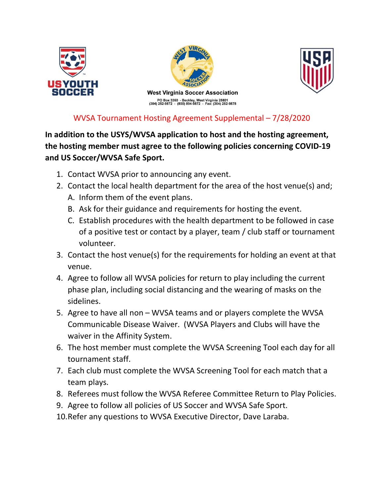





## WVSA Tournament Hosting Agreement Supplemental – 7/28/2020

In addition to the USYS/WVSA application to host and the hosting agreement, the hosting member must agree to the following policies concerning COVID-19 and US Soccer/WVSA Safe Sport.

- 1. Contact WVSA prior to announcing any event.
- 2. Contact the local health department for the area of the host venue(s) and;
	- A. Inform them of the event plans.
	- B. Ask for their guidance and requirements for hosting the event.
	- C. Establish procedures with the health department to be followed in case of a positive test or contact by a player, team / club staff or tournament volunteer.
- 3. Contact the host venue(s) for the requirements for holding an event at that venue.
- 4. Agree to follow all WVSA policies for return to play including the current phase plan, including social distancing and the wearing of masks on the sidelines.
- 5. Agree to have all non WVSA teams and or players complete the WVSA Communicable Disease Waiver. (WVSA Players and Clubs will have the waiver in the Affinity System.
- 6. The host member must complete the WVSA Screening Tool each day for all tournament staff.
- 7. Each club must complete the WVSA Screening Tool for each match that a team plays.
- 8. Referees must follow the WVSA Referee Committee Return to Play Policies.
- 9. Agree to follow all policies of US Soccer and WVSA Safe Sport.
- 10.Refer any questions to WVSA Executive Director, Dave Laraba.